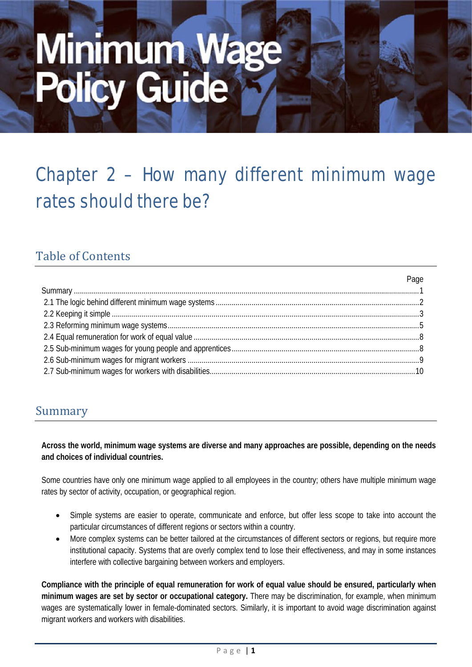# Minimum Wage<br>Policy Guide

# Chapter 2 – How many different minimum wage rates should there be?

# Table of Contents

|  | r uyv |
|--|-------|
|  |       |
|  |       |
|  |       |
|  |       |
|  |       |
|  |       |
|  |       |
|  |       |
|  |       |

Page

# Summary

**Across the world, minimum wage systems are diverse and many approaches are possible, depending on the needs and choices of individual countries.**

Some countries have only one minimum wage applied to all employees in the country; others have multiple minimum wage rates by sector of activity, occupation, or geographical region.

- Simple systems are easier to operate, communicate and enforce, but offer less scope to take into account the particular circumstances of different regions or sectors within a country.
- More complex systems can be better tailored at the circumstances of different sectors or regions, but require more institutional capacity. Systems that are overly complex tend to lose their effectiveness, and may in some instances interfere with collective bargaining between workers and employers.

**Compliance with the principle of equal remuneration for work of equal value should be ensured, particularly when minimum wages are set by sector or occupational category.** There may be discrimination, for example, when minimum wages are systematically lower in female-dominated sectors. Similarly, it is important to avoid wage discrimination against migrant workers and workers with disabilities.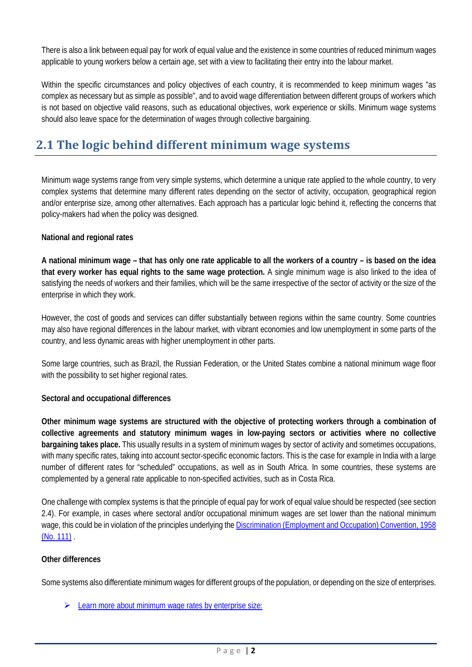There is also a link between equal pay for work of equal value and the existence in some countries of reduced minimum wages applicable to young workers below a certain age, set with a view to facilitating their entry into the labour market.

Within the specific circumstances and policy objectives of each country, it is recommended to keep minimum wages "as complex as necessary but as simple as possible", and to avoid wage differentiation between different groups of workers which is not based on objective valid reasons, such as educational objectives, work experience or skills. Minimum wage systems should also leave space for the determination of wages through collective bargaining.

# **2.1 The logic behind different minimum wage systems**

Minimum wage systems range from very simple systems, which determine a unique rate applied to the whole country, to very complex systems that determine many different rates depending on the sector of activity, occupation, geographical region and/or enterprise size, among other alternatives. Each approach has a particular logic behind it, reflecting the concerns that policy-makers had when the policy was designed.

### **National and regional rates**

**A national minimum wage – that has only one rate applicable to all the workers of a country – is based on the idea that every worker has equal rights to the same wage protection.** A single minimum wage is also linked to the idea of satisfying the needs of workers and their families, which will be the same irrespective of the sector of activity or the size of the enterprise in which they work.

However, the cost of goods and services can differ substantially between regions within the same country. Some countries may also have regional differences in the labour market, with vibrant economies and low unemployment in some parts of the country, and less dynamic areas with higher unemployment in other parts.

Some large countries, such as Brazil, the Russian Federation, or the United States combine a national minimum wage floor with the possibility to set higher regional rates.

# **Sectoral and occupational differences**

**Other minimum wage systems are structured with the objective of protecting workers through a combination of collective agreements and statutory minimum wages in low-paying sectors or activities where no collective bargaining takes place.** This usually results in a system of minimum wages by sector of activity and sometimes occupations, with many specific rates, taking into account sector-specific economic factors. This is the case for example in India with a large number of different rates for "scheduled" occupations, as well as in South Africa. In some countries, these systems are complemented by a general rate applicable to non-specified activities, such as in Costa Rica.

One challenge with complex systems is that the principle of equal pay for work of equal value should be respected (see section 2.4). For example, in cases where sectoral and/or occupational minimum wages are set lower than the national minimum wage, this could be in violation of the principles underlying the [Discrimination \(Employment and Occupation\) Convention, 1958](http://www.ilo.org/dyn/normlex/en/f?p=NORMLEXPUB:12100:0::NO:12100:P12100_INSTRUMENT_ID:312256:NO)  [\(No. 111\)](http://www.ilo.org/dyn/normlex/en/f?p=NORMLEXPUB:12100:0::NO:12100:P12100_INSTRUMENT_ID:312256:NO) .

### **Other differences**

Some systems also differentiate minimum wages for different groups of the population, or depending on the size of enterprises.

[Learn more about minimum wage rates by enterprise size:](http://www.ilo.org/global/topics/wages/minimum-wages/rates/WCMS_460928/lang--en/index.htm)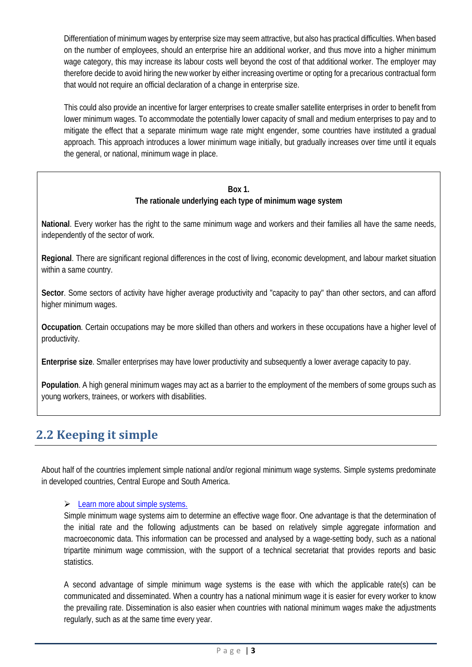Differentiation of minimum wages by enterprise size may seem attractive, but also has practical difficulties. When based on the number of employees, should an enterprise hire an additional worker, and thus move into a higher minimum wage category, this may increase its labour costs well beyond the cost of that additional worker. The employer may therefore decide to avoid hiring the new worker by either increasing overtime or opting for a precarious contractual form that would not require an official declaration of a change in enterprise size.

This could also provide an incentive for larger enterprises to create smaller satellite enterprises in order to benefit from lower minimum wages. To accommodate the potentially lower capacity of small and medium enterprises to pay and to mitigate the effect that a separate minimum wage rate might engender, some countries have instituted a gradual approach. This approach introduces a lower minimum wage initially, but gradually increases over time until it equals the general, or national, minimum wage in place.

### **Box 1.**

# **The rationale underlying each type of minimum wage system**

**National**. Every worker has the right to the same minimum wage and workers and their families all have the same needs, independently of the sector of work.

**Regional**. There are significant regional differences in the cost of living, economic development, and labour market situation within a same country.

**Sector**. Some sectors of activity have higher average productivity and "capacity to pay" than other sectors, and can afford higher minimum wages.

**Occupation**. Certain occupations may be more skilled than others and workers in these occupations have a higher level of productivity.

**Enterprise size**. Smaller enterprises may have lower productivity and subsequently a lower average capacity to pay.

**Population**. A high general minimum wages may act as a barrier to the employment of the members of some groups such as young workers, trainees, or workers with disabilities.

# **2.2 Keeping it simple**

About half of the countries implement simple national and/or regional minimum wage systems. Simple systems predominate in developed countries, Central Europe and South America.

# $\triangleright$  Learn more about simple systems.

Simple minimum wage systems aim to determine an effective wage floor. One advantage is that the determination of the initial rate and the following adjustments can be based on relatively simple aggregate information and macroeconomic data. This information can be processed and analysed by a wage-setting body, such as a national tripartite minimum wage commission, with the support of a technical secretariat that provides reports and basic statistics.

A second advantage of simple minimum wage systems is the ease with which the applicable rate(s) can be communicated and disseminated. When a country has a national minimum wage it is easier for every worker to know the prevailing rate. Dissemination is also easier when countries with national minimum wages make the adjustments regularly, such as at the same time every year.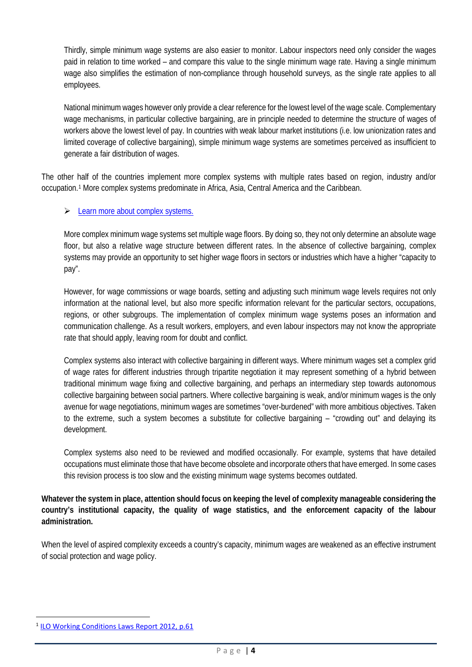Thirdly, simple minimum wage systems are also easier to monitor. Labour inspectors need only consider the wages paid in relation to time worked – and compare this value to the single minimum wage rate. Having a single minimum wage also simplifies the estimation of non-compliance through household surveys, as the single rate applies to all employees.

National minimum wages however only provide a clear reference for the lowest level of the wage scale. Complementary wage mechanisms, in particular collective bargaining, are in principle needed to determine the structure of wages of workers above the lowest level of pay. In countries with weak labour market institutions (i.e. low unionization rates and limited coverage of collective bargaining), simple minimum wage systems are sometimes perceived as insufficient to generate a fair distribution of wages.

The other half of the countries implement more complex systems with multiple rates based on region, industry and/or occupation.[1](#page-3-0) More complex systems predominate in Africa, Asia, Central America and the Caribbean.

# [Learn more about complex systems.](http://www.ilo.org/global/topics/wages/minimum-wages/rates/WCMS_460924/lang--en/index.htm)

More complex minimum wage systems set multiple wage floors. By doing so, they not only determine an absolute wage floor, but also a relative wage structure between different rates. In the absence of collective bargaining, complex systems may provide an opportunity to set higher wage floors in sectors or industries which have a higher "capacity to pay".

However, for wage commissions or wage boards, setting and adjusting such minimum wage levels requires not only information at the national level, but also more specific information relevant for the particular sectors, occupations, regions, or other subgroups. The implementation of complex minimum wage systems poses an information and communication challenge. As a result workers, employers, and even labour inspectors may not know the appropriate rate that should apply, leaving room for doubt and conflict.

Complex systems also interact with collective bargaining in different ways. Where minimum wages set a complex grid of wage rates for different industries through tripartite negotiation it may represent something of a hybrid between traditional minimum wage fixing and collective bargaining, and perhaps an intermediary step towards autonomous collective bargaining between social partners. Where collective bargaining is weak, and/or minimum wages is the only avenue for wage negotiations, minimum wages are sometimes "over-burdened" with more ambitious objectives. Taken to the extreme, such a system becomes a substitute for collective bargaining – "crowding out" and delaying its development.

Complex systems also need to be reviewed and modified occasionally. For example, systems that have detailed occupations must eliminate those that have become obsolete and incorporate others that have emerged. In some cases this revision process is too slow and the existing minimum wage systems becomes outdated.

**Whatever the system in place, attention should focus on keeping the level of complexity manageable considering the country's institutional capacity, the quality of wage statistics, and the enforcement capacity of the labour administration.**

When the level of aspired complexity exceeds a country's capacity, minimum wages are weakened as an effective instrument of social protection and wage policy.

 $\overline{a}$ 

<span id="page-3-0"></span><sup>&</sup>lt;sup>1</sup> [ILO Working Conditions Laws Report 2012, p.61](http://www.ilo.org/travail/whatwedo/publications/WCMS_235155/lang--en/index.htm)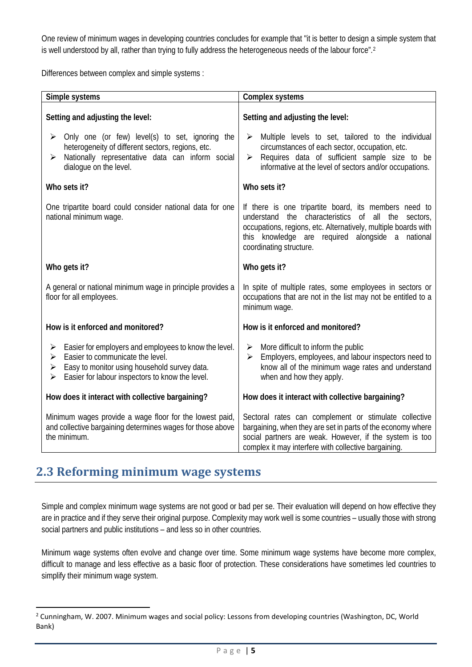One review of minimum wages in developing countries concludes for example that "it is better to design a simple system that is well understood by all, rather than trying to fully address the heterogeneous needs of the labour force".<sup>[2](#page-4-0)</sup>

Differences between complex and simple systems :

| Simple systems                                                                                                                                                                                                   | Complex systems                                                                                                                                                                                                                                                                |  |
|------------------------------------------------------------------------------------------------------------------------------------------------------------------------------------------------------------------|--------------------------------------------------------------------------------------------------------------------------------------------------------------------------------------------------------------------------------------------------------------------------------|--|
| Setting and adjusting the level:                                                                                                                                                                                 | Setting and adjusting the level:                                                                                                                                                                                                                                               |  |
| Only one (or few) level(s) to set, ignoring the<br>heterogeneity of different sectors, regions, etc.<br>Nationally representative data can inform social<br>➤<br>dialoque on the level.                          | Multiple levels to set, tailored to the individual<br>➤<br>circumstances of each sector, occupation, etc.<br>Requires data of sufficient sample size to be<br>➤<br>informative at the level of sectors and/or occupations.                                                     |  |
| Who sets it?                                                                                                                                                                                                     | Who sets it?                                                                                                                                                                                                                                                                   |  |
| One tripartite board could consider national data for one<br>national minimum wage.                                                                                                                              | If there is one tripartite board, its members need to<br>characteristics<br>all<br>understand<br>the<br>0f<br>the<br>sectors,<br>occupations, regions, etc. Alternatively, multiple boards with<br>this knowledge are required alongside a national<br>coordinating structure. |  |
| Who gets it?                                                                                                                                                                                                     | Who gets it?                                                                                                                                                                                                                                                                   |  |
| A general or national minimum wage in principle provides a<br>floor for all employees.                                                                                                                           | In spite of multiple rates, some employees in sectors or<br>occupations that are not in the list may not be entitled to a<br>minimum wage.                                                                                                                                     |  |
| How is it enforced and monitored?                                                                                                                                                                                | How is it enforced and monitored?                                                                                                                                                                                                                                              |  |
| Easier for employers and employees to know the level.<br>➤<br>Easier to communicate the level.<br>➤<br>Easy to monitor using household survey data.<br>➤<br>Easier for labour inspectors to know the level.<br>➤ | More difficult to inform the public<br>➤<br>Employers, employees, and labour inspectors need to<br>➤<br>know all of the minimum wage rates and understand<br>when and how they apply.                                                                                          |  |
| How does it interact with collective bargaining?                                                                                                                                                                 | How does it interact with collective bargaining?                                                                                                                                                                                                                               |  |
| Minimum wages provide a wage floor for the lowest paid,<br>and collective bargaining determines wages for those above<br>the minimum.                                                                            | Sectoral rates can complement or stimulate collective<br>bargaining, when they are set in parts of the economy where<br>social partners are weak. However, if the system is too<br>complex it may interfere with collective bargaining.                                        |  |

# **2.3 Reforming minimum wage systems**

**.** 

Simple and complex minimum wage systems are not good or bad per se. Their evaluation will depend on how effective they are in practice and if they serve their original purpose. Complexity may work well is some countries – usually those with strong social partners and public institutions – and less so in other countries.

Minimum wage systems often evolve and change over time. Some minimum wage systems have become more complex, difficult to manage and less effective as a basic floor of protection. These considerations have sometimes led countries to simplify their minimum wage system.

<span id="page-4-0"></span><sup>&</sup>lt;sup>2</sup> Cunningham, W. 2007. Minimum wages and social policy: Lessons from developing countries (Washington, DC, World Bank)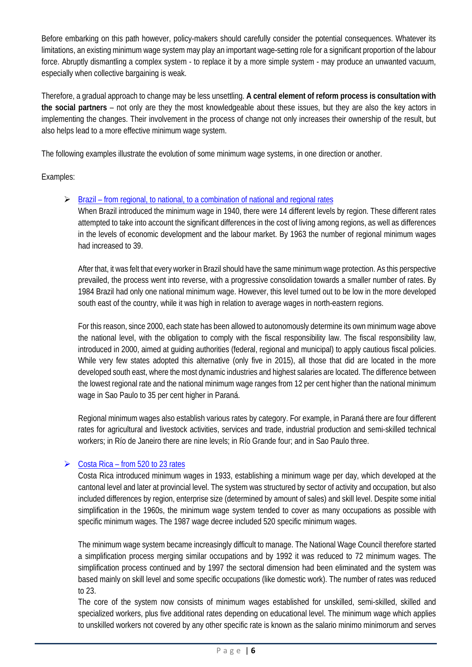Before embarking on this path however, policy-makers should carefully consider the potential consequences. Whatever its limitations, an existing minimum wage system may play an important wage-setting role for a significant proportion of the labour force. Abruptly dismantling a complex system - to replace it by a more simple system - may produce an unwanted vacuum, especially when collective bargaining is weak.

Therefore, a gradual approach to change may be less unsettling. **A central element of reform process is consultation with the social partners** – not only are they the most knowledgeable about these issues, but they are also the key actors in implementing the changes. Their involvement in the process of change not only increases their ownership of the result, but also helps lead to a more effective minimum wage system.

The following examples illustrate the evolution of some minimum wage systems, in one direction or another.

Examples:

 $\triangleright$  Brazil – [from regional, to national, to a combination of national and regional rates](http://www.ilo.org/global/topics/wages/minimum-wages/rates/WCMS_459960/lang--en/index.htm)

When Brazil introduced the minimum wage in 1940, there were 14 different levels by region. These different rates attempted to take into account the significant differences in the cost of living among regions, as well as differences in the levels of economic development and the labour market. By 1963 the number of regional minimum wages had increased to 39.

After that, it was felt that every worker in Brazil should have the same minimum wage protection. As this perspective prevailed, the process went into reverse, with a progressive consolidation towards a smaller number of rates. By 1984 Brazil had only one national minimum wage. However, this level turned out to be low in the more developed south east of the country, while it was high in relation to average wages in north-eastern regions.

For this reason, since 2000, each state has been allowed to autonomously determine its own minimum wage above the national level, with the obligation to comply with the fiscal responsibility law. The fiscal responsibility law, introduced in 2000, aimed at guiding authorities (federal, regional and municipal) to apply cautious fiscal policies. While very few states adopted this alternative (only five in 2015), all those that did are located in the more developed south east, where the most dynamic industries and highest salaries are located. The difference between the lowest regional rate and the national minimum wage ranges from 12 per cent higher than the national minimum wage in Sao Paulo to 35 per cent higher in Paraná.

Regional minimum wages also establish various rates by category. For example, in Paraná there are four different rates for agricultural and livestock activities, services and trade, industrial production and semi-skilled technical workers; in Río de Janeiro there are nine levels; in Río Grande four; and in Sao Paulo three.

# $\triangleright$  Costa Rica – from 520 to 23 rates

Costa Rica introduced minimum wages in 1933, establishing a minimum wage per day, which developed at the cantonal level and later at provincial level. The system was structured by sector of activity and occupation, but also included differences by region, enterprise size (determined by amount of sales) and skill level. Despite some initial simplification in the 1960s, the minimum wage system tended to cover as many occupations as possible with specific minimum wages. The 1987 wage decree included 520 specific minimum wages.

The minimum wage system became increasingly difficult to manage. The National Wage Council therefore started a simplification process merging similar occupations and by 1992 it was reduced to 72 minimum wages. The simplification process continued and by 1997 the sectoral dimension had been eliminated and the system was based mainly on skill level and some specific occupations (like domestic work). The number of rates was reduced to 23.

The core of the system now consists of minimum wages established for unskilled, semi-skilled, skilled and specialized workers, plus five additional rates depending on educational level. The minimum wage which applies to unskilled workers not covered by any other specific rate is known as the salario minimo minimorum and serves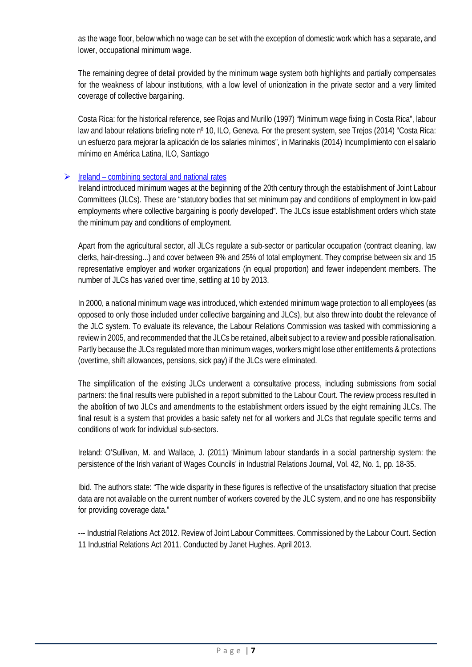as the wage floor, below which no wage can be set with the exception of domestic work which has a separate, and lower, occupational minimum wage.

The remaining degree of detail provided by the minimum wage system both highlights and partially compensates for the weakness of labour institutions, with a low level of unionization in the private sector and a very limited coverage of collective bargaining.

Costa Rica: for the historical reference, see Rojas and Murillo (1997) "Minimum wage fixing in Costa Rica", labour law and labour relations briefing note nº 10, ILO, Geneva. For the present system, see Trejos (2014) "Costa Rica: un esfuerzo para mejorar la aplicación de los salaries mínimos", in Marinakis (2014) Incumplimiento con el salario mínimo en América Latina, ILO, Santiago

# $\triangleright$  Ireland – combining sectoral and national rates

Ireland introduced minimum wages at the beginning of the 20th century through the establishment of Joint Labour Committees (JLCs). These are "statutory bodies that set minimum pay and conditions of employment in low-paid employments where collective bargaining is poorly developed". The JLCs issue establishment orders which state the minimum pay and conditions of employment.

Apart from the agricultural sector, all JLCs regulate a sub-sector or particular occupation (contract cleaning, law clerks, hair-dressing...) and cover between 9% and 25% of total employment. They comprise between six and 15 representative employer and worker organizations (in equal proportion) and fewer independent members. The number of JLCs has varied over time, settling at 10 by 2013.

In 2000, a national minimum wage was introduced, which extended minimum wage protection to all employees (as opposed to only those included under collective bargaining and JLCs), but also threw into doubt the relevance of the JLC system. To evaluate its relevance, the Labour Relations Commission was tasked with commissioning a review in 2005, and recommended that the JLCs be retained, albeit subject to a review and possible rationalisation. Partly because the JLCs regulated more than minimum wages, workers might lose other entitlements & protections (overtime, shift allowances, pensions, sick pay) if the JLCs were eliminated.

The simplification of the existing JLCs underwent a consultative process, including submissions from social partners: the final results were published in a report submitted to the Labour Court. The review process resulted in the abolition of two JLCs and amendments to the establishment orders issued by the eight remaining JLCs. The final result is a system that provides a basic safety net for all workers and JLCs that regulate specific terms and conditions of work for individual sub-sectors.

Ireland: O'Sullivan, M. and Wallace, J. (2011) 'Minimum labour standards in a social partnership system: the persistence of the Irish variant of Wages Councils' in Industrial Relations Journal, Vol. 42, No. 1, pp. 18-35.

Ibid. The authors state: "The wide disparity in these figures is reflective of the unsatisfactory situation that precise data are not available on the current number of workers covered by the JLC system, and no one has responsibility for providing coverage data."

--- Industrial Relations Act 2012. Review of Joint Labour Committees. Commissioned by the Labour Court. Section 11 Industrial Relations Act 2011. Conducted by Janet Hughes. April 2013.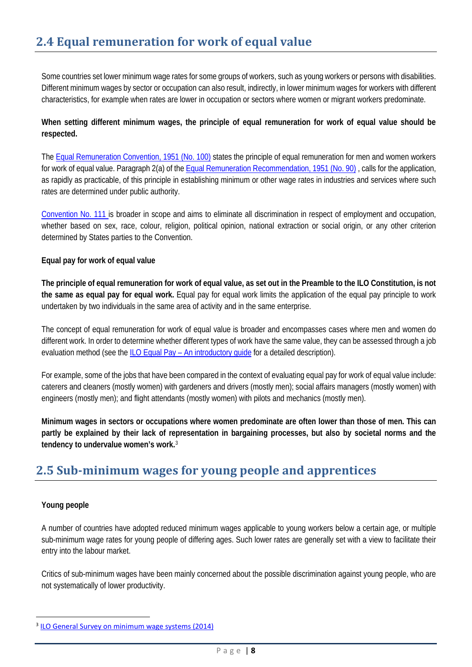Some countries set lower minimum wage rates for some groups of workers, such as young workers or persons with disabilities. Different minimum wages by sector or occupation can also result, indirectly, in lower minimum wages for workers with different characteristics, for example when rates are lower in occupation or sectors where women or migrant workers predominate.

# **When setting different minimum wages, the principle of equal remuneration for work of equal value should be respected.**

Th[e Equal Remuneration Convention, 1951 \(No. 100\)](http://www.ilo.org/dyn/normlex/en/f?p=NORMLEXPUB:12100:0::NO:12100:P12100_INSTRUMENT_ID:312245:NO) states the principle of equal remuneration for men and women workers for work of equal value. Paragraph 2(a) of th[e Equal Remuneration Recommendation, 1951 \(No. 90\)](http://www.ilo.org/dyn/normlex/en/f?p=NORMLEXPUB:12100:0::NO:12100:P12100_INSTRUMENT_ID:312235:NO) , calls for the application, as rapidly as practicable, of this principle in establishing minimum or other wage rates in industries and services where such rates are determined under public authority.

[Convention No. 111 is](http://www.ilo.org/dyn/normlex/en/f?p=NORMLEXPUB:12100:0::NO:12100:P12100_INSTRUMENT_ID:312256:NO) broader in scope and aims to eliminate all discrimination in respect of employment and occupation, whether based on sex, race, colour, religion, political opinion, national extraction or social origin, or any other criterion determined by States parties to the Convention.

# **Equal pay for work of equal value**

**The principle of equal remuneration for work of equal value, as set out in the Preamble to the ILO Constitution, is not the same as equal pay for equal work.** Equal pay for equal work limits the application of the equal pay principle to work undertaken by two individuals in the same area of activity and in the same enterprise.

The concept of equal remuneration for work of equal value is broader and encompasses cases where men and women do different work. In order to determine whether different types of work have the same value, they can be assessed through a job evaluation method (see the ILO Equal Pay – [An introductory guide](http://www.ilo.org/global/publications/WCMS_216695/lang--en/index.htm) for a detailed description).

For example, some of the jobs that have been compared in the context of evaluating equal pay for work of equal value include: caterers and cleaners (mostly women) with gardeners and drivers (mostly men); social affairs managers (mostly women) with engineers (mostly men); and flight attendants (mostly women) with pilots and mechanics (mostly men).

**Minimum wages in sectors or occupations where women predominate are often lower than those of men. This can partly be explained by their lack of representation in bargaining processes, but also by societal norms and the tendency to undervalue women's work.**[3](#page-7-0)

# **2.5 Sub-minimum wages for young people and apprentices**

# **Young people**

 $\overline{a}$ 

A number of countries have adopted reduced minimum wages applicable to young workers below a certain age, or multiple sub-minimum wage rates for young people of differing ages. Such lower rates are generally set with a view to facilitate their entry into the labour market.

Critics of sub-minimum wages have been mainly concerned about the possible discrimination against young people, who are not systematically of lower productivity.

<span id="page-7-0"></span><sup>&</sup>lt;sup>3</sup> [ILO General Survey on minimum wage systems](http://www.ilo.org/global/standards/WCMS_235303/lang--en/index.htm) (2014)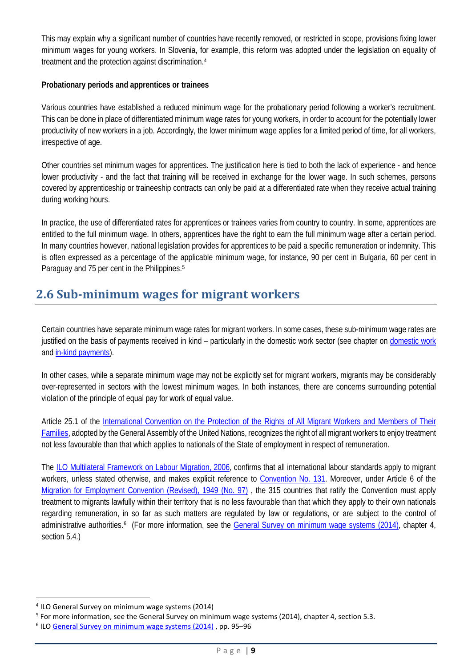This may explain why a significant number of countries have recently removed, or restricted in scope, provisions fixing lower minimum wages for young workers. In Slovenia, for example, this reform was adopted under the legislation on equality of treatment and the protection against discrimination.[4](#page-8-0)

### **Probationary periods and apprentices or trainees**

Various countries have established a reduced minimum wage for the probationary period following a worker's recruitment. This can be done in place of differentiated minimum wage rates for young workers, in order to account for the potentially lower productivity of new workers in a job. Accordingly, the lower minimum wage applies for a limited period of time, for all workers, irrespective of age.

Other countries set minimum wages for apprentices. The justification here is tied to both the lack of experience - and hence lower productivity - and the fact that training will be received in exchange for the lower wage. In such schemes, persons covered by apprenticeship or traineeship contracts can only be paid at a differentiated rate when they receive actual training during working hours.

In practice, the use of differentiated rates for apprentices or trainees varies from country to country. In some, apprentices are entitled to the full minimum wage. In others, apprentices have the right to earn the full minimum wage after a certain period. In many countries however, national legislation provides for apprentices to be paid a specific remuneration or indemnity. This is often expressed as a percentage of the applicable minimum wage, for instance, 90 per cent in Bulgaria, 60 per cent in Paraguay and 7[5](#page-8-1) per cent in the Philippines.<sup>5</sup>

# **2.6 Sub-minimum wages for migrant workers**

Certain countries have separate minimum wage rates for migrant workers. In some cases, these sub-minimum wage rates are justified on the basis of payments received in kind – particularly in the domestic work sector (see chapter on [domestic work](http://www.ilo.org/global/topics/wages/minimum-wages/domestic-workers/lang--en/index.htm) and [in-kind payments\)](http://www.ilo.org/global/topics/wages/minimum-wages/definition/WCMS_439068/lang--en/index.htm).

In other cases, while a separate minimum wage may not be explicitly set for migrant workers, migrants may be considerably over-represented in sectors with the lowest minimum wages. In both instances, there are concerns surrounding potential violation of the principle of equal pay for work of equal value.

Article 25.1 of the [International Convention on the Protection of the Rights of All Migrant Workers and Members of Their](http://www2.ohchr.org/english/bodies/cmw/cmw.htm)  [Families,](http://www2.ohchr.org/english/bodies/cmw/cmw.htm) adopted by the General Assembly of the United Nations, recognizes the right of all migrant workers to enjoy treatment not less favourable than that which applies to nationals of the State of employment in respect of remuneration.

The [ILO Multilateral Framework on Labour Migration, 2006,](http://www.ilo.org/asia/whatwedo/publications/WCMS_146243/lang--en/index.htm) confirms that all international labour standards apply to migrant workers, unless stated otherwise, and makes explicit reference to [Convention No. 131.](http://www.ilo.org/dyn/normlex/en/f?p=NORMLEXPUB:12100:0::NO:12100:P12100_INSTRUMENT_ID:312276:NO) Moreover, under Article 6 of the [Migration for Employment Convention \(Revised\), 1949 \(No. 97\)](http://www.ilo.org/dyn/normlex/en/f?p=NORMLEXPUB:12100:0::NO:12100:P12100_INSTRUMENT_ID:312242:NO) , the 315 countries that ratify the Convention must apply treatment to migrants lawfully within their territory that is no less favourable than that which they apply to their own nationals regarding remuneration, in so far as such matters are regulated by law or regulations, or are subject to the control of administrative authorities.<sup>[6](#page-8-2)</sup> (For more information, see the [General Survey on minimum wage systems](http://www.ilo.org/global/standards/WCMS_235303/lang--en/index.htm) (2014), chapter 4, section 5.4.)

 $\overline{a}$ 

<span id="page-8-0"></span><sup>4</sup> ILO General Survey on minimum wage systems (2014)

<span id="page-8-1"></span><sup>5</sup> For more information, see the General Survey on minimum wage systems (2014), chapter 4, section 5.3.

<span id="page-8-2"></span><sup>&</sup>lt;sup>6</sup> IL[O General Survey on minimum wage systems](http://www.ilo.org/wcmsp5/groups/public/---ed_norm/---relconf/documents/meetingdocument/wcms_235287.pdf) (2014), pp. 95-96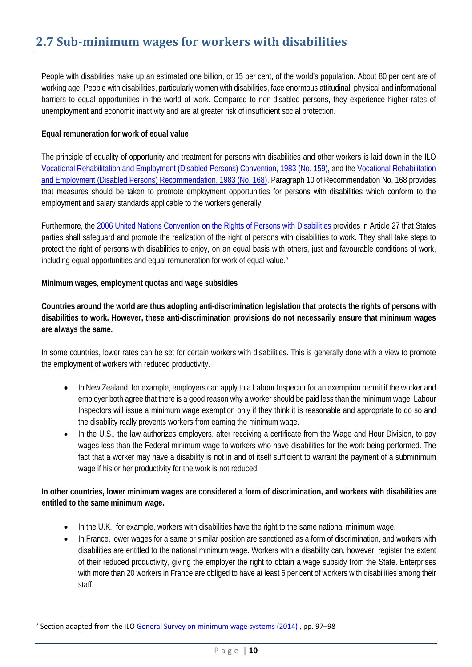People with disabilities make up an estimated one billion, or 15 per cent, of the world's population. About 80 per cent are of working age. People with disabilities, particularly women with disabilities, face enormous attitudinal, physical and informational barriers to equal opportunities in the world of work. Compared to non-disabled persons, they experience higher rates of unemployment and economic inactivity and are at greater risk of insufficient social protection.

### **Equal remuneration for work of equal value**

The principle of equality of opportunity and treatment for persons with disabilities and other workers is laid down in the ILO [Vocational Rehabilitation and Employment \(Disabled Persons\) Convention, 1983 \(No. 159\),](http://www.ilo.org/dyn/normlex/en/f?p=NORMLEXPUB:12100:0::NO::P12100_INSTRUMENT_ID:312304) and the [Vocational Rehabilitation](http://www.ilo.org/dyn/normlex/en/f?p=NORMLEXPUB:12100:0::NO:12100:P12100_INSTRUMENT_ID:312506:NO)  [and Employment \(Disabled Persons\) Recommendation, 1983 \(No. 168\).](http://www.ilo.org/dyn/normlex/en/f?p=NORMLEXPUB:12100:0::NO:12100:P12100_INSTRUMENT_ID:312506:NO) Paragraph 10 of Recommendation No. 168 provides that measures should be taken to promote employment opportunities for persons with disabilities which conform to the employment and salary standards applicable to the workers generally.

Furthermore, the [2006 United Nations Convention on the Rights of Persons with Disabilities](http://www.un.org/disabilities/convention/conventionfull.shtml) provides in Article 27 that States parties shall safeguard and promote the realization of the right of persons with disabilities to work. They shall take steps to protect the right of persons with disabilities to enjoy, on an equal basis with others, just and favourable conditions of work, including equal opportunities and equal remuneration for work of equal value.[7](#page-9-0)

### **Minimum wages, employment quotas and wage subsidies**

**Countries around the world are thus adopting anti-discrimination legislation that protects the rights of persons with disabilities to work. However, these anti-discrimination provisions do not necessarily ensure that minimum wages are always the same.**

In some countries, lower rates can be set for certain workers with disabilities. This is generally done with a view to promote the employment of workers with reduced productivity.

- In New Zealand, for example, employers can apply to a Labour Inspector for an exemption permit if the worker and employer both agree that there is a good reason why a worker should be paid less than the minimum wage. Labour Inspectors will issue a minimum wage exemption only if they think it is reasonable and appropriate to do so and the disability really prevents workers from earning the minimum wage.
- In the U.S., the law authorizes employers, after receiving a certificate from the Wage and Hour Division, to pay wages less than the Federal minimum wage to workers who have disabilities for the work being performed. The fact that a worker may have a disability is not in and of itself sufficient to warrant the payment of a subminimum wage if his or her productivity for the work is not reduced.

# **In other countries, lower minimum wages are considered a form of discrimination, and workers with disabilities are entitled to the same minimum wage.**

- In the U.K., for example, workers with disabilities have the right to the same national minimum wage.
- In France, lower wages for a same or similar position are sanctioned as a form of discrimination, and workers with disabilities are entitled to the national minimum wage. Workers with a disability can, however, register the extent of their reduced productivity, giving the employer the right to obtain a wage subsidy from the State. Enterprises with more than 20 workers in France are obliged to have at least 6 per cent of workers with disabilities among their staff.

 $\overline{a}$ 

<span id="page-9-0"></span><sup>&</sup>lt;sup>7</sup> Section adapted from the IL[O General Survey on minimum wage systems](http://www.ilo.org/ilc/ILCSessions/103/reports/reports-to-the-conference/WCMS_235287/lang--en/index.htm) (2014), pp. 97–98